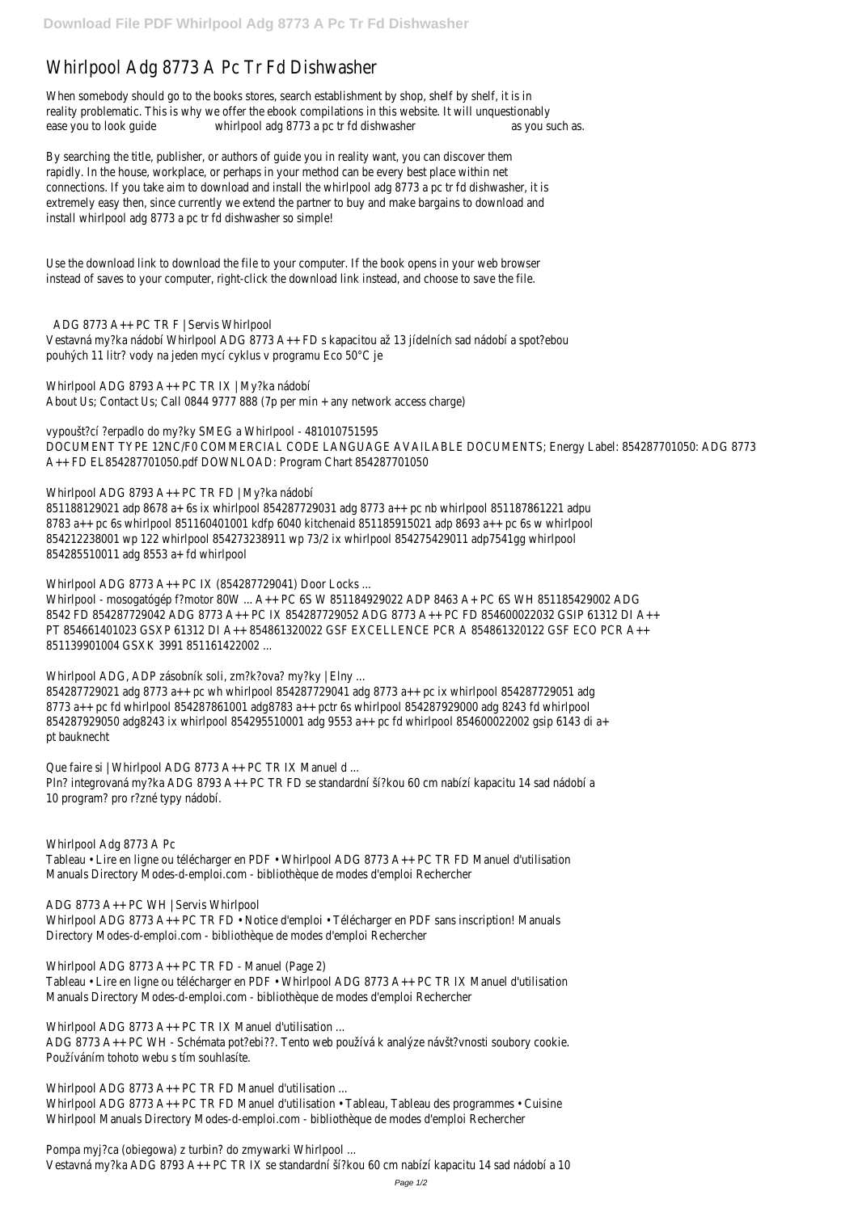## Whirlpool Adg 8773 A Pc Tr Fd Dishwasher

When somebody should go to the books stores, search establishment by shop, shelf by shelf, it is in reality problematic. This is why we offer the ebook compilations in this website. It will unquestionably ease you to look quide whirlpool adg 8773 a pc tr fd dishwasher as you such as.

By searching the title, publisher, or authors of guide you in reality want, you can discover them rapidly. In the house, workplace, or perhaps in your method can be every best place within net connections. If you take aim to download and install the whirlpool adg 8773 a pc tr fd dishwasher, it is extremely easy then, since currently we extend the partner to buy and make bargains to download and install whirlpool adg 8773 a pc tr fd dishwasher so simple!

Use the download link to download the file to your computer. If the book opens in your web browser instead of saves to your computer, right-click the download link instead, and choose to save the file.

ADG 8773 A++ PC TR F | Servis Whirlpool Vestavná my?ka nádobí Whirlpool ADG 8773 A++ FD s kapacitou až 13 jídelních sad nádobí a spot?ebou pouhých 11 litr? vody na jeden mycí cyklus v programu Eco 50°C je

Whirlpool ADG 8793 A++ PC TR IX | My?ka nádobí About Us; Contact Us; Call 0844 9777 888 (7p per min + any network access charge)

Whirlpool ADG, ADP zásobník soli, zm?k?ova? my?ky | Elny ... 854287729021 adg 8773 a++ pc wh whirlpool 854287729041 adg 8773 a++ pc ix whirlpool 854287729051 adg 8773 a++ pc fd whirlpool 854287861001 adg8783 a++ pctr 6s whirlpool 854287929000 adg 8243 fd whirlpool 854287929050 adg8243 ix whirlpool 854295510001 adg 9553 a++ pc fd whirlpool 854600022002 gsip 6143 di a+ pt bauknecht

Que faire si | Whirlpool ADG 8773 A++ PC TR IX Manuel d ... Pln? integrovaná my?ka ADG 8793 A++ PC TR FD se standardní ší?kou 60 cm nabízí kapacitu 14 sad nádobí a 10 program? pro r?zné typy nádobí.

vypoušt?cí ?erpadlo do my?ky SMEG a Whirlpool - 481010751595 DOCUMENT TYPE 12NC/F0 COMMERCIAL CODE LANGUAGE AVAILABLE DOCUMENTS; Energy Label: 854287701050: ADG 8773 A++ FD EL854287701050.pdf DOWNLOAD: Program Chart 854287701050

Whirlpool ADG 8793 A++ PC TR FD | My?ka nádobí

851188129021 adp 8678 a+ 6s ix whirlpool 854287729031 adg 8773 a++ pc nb whirlpool 851187861221 adpu 8783 a++ pc 6s whirlpool 851160401001 kdfp 6040 kitchenaid 851185915021 adp 8693 a++ pc 6s w whirlpool 854212238001 wp 122 whirlpool 854273238911 wp 73/2 ix whirlpool 854275429011 adp7541gg whirlpool 854285510011 adg 8553 a+ fd whirlpool

Whirlpool ADG 8773 A++ PC IX (854287729041) Door Locks ...

Whirlpool ADG 8773 A++ PC TR FD Manuel d'utilisation ... Whirlpool ADG 8773 A++ PC TR FD Manuel d'utilisation • Tableau, Tableau des programmes • Cuisine Whirlpool Manuals Directory Modes-d-emploi.com - bibliothèque de modes d'emploi Rechercher

Whirlpool - mosogatógép f?motor 80W ... A++ PC 6S W 851184929022 ADP 8463 A+ PC 6S WH 851185429002 ADG 8542 FD 854287729042 ADG 8773 A++ PC IX 854287729052 ADG 8773 A++ PC FD 854600022032 GSIP 61312 DI A++ PT 854661401023 GSXP 61312 DI A++ 854861320022 GSF EXCELLENCE PCR A 854861320122 GSF ECO PCR A++ 851139901004 GSXK 3991 851161422002 ...

Whirlpool Adg 8773 A Pc Tableau • Lire en ligne ou télécharger en PDF • Whirlpool ADG 8773 A++ PC TR FD Manuel d'utilisation Manuals Directory Modes-d-emploi.com - bibliothèque de modes d'emploi Rechercher

ADG 8773 A++ PC WH | Servis Whirlpool

Whirlpool ADG 8773 A++ PC TR FD • Notice d'emploi • Télécharger en PDF sans inscription! Manuals Directory Modes-d-emploi.com - bibliothèque de modes d'emploi Rechercher

Whirlpool ADG 8773 A++ PC TR FD - Manuel (Page 2) Tableau • Lire en ligne ou télécharger en PDF • Whirlpool ADG 8773 A++ PC TR IX Manuel d'utilisation Manuals Directory Modes-d-emploi.com - bibliothèque de modes d'emploi Rechercher

Whirlpool ADG 8773 A++ PC TR IX Manuel d'utilisation ... ADG 8773 A++ PC WH - Schémata pot?ebi??. Tento web používá k analýze návšt?vnosti soubory cookie. Používáním tohoto webu s tím souhlasíte.

Pompa myj?ca (obiegowa) z turbin? do zmywarki Whirlpool ... Vestavná my?ka ADG 8793 A++ PC TR IX se standardní ší?kou 60 cm nabízí kapacitu 14 sad nádobí a 10